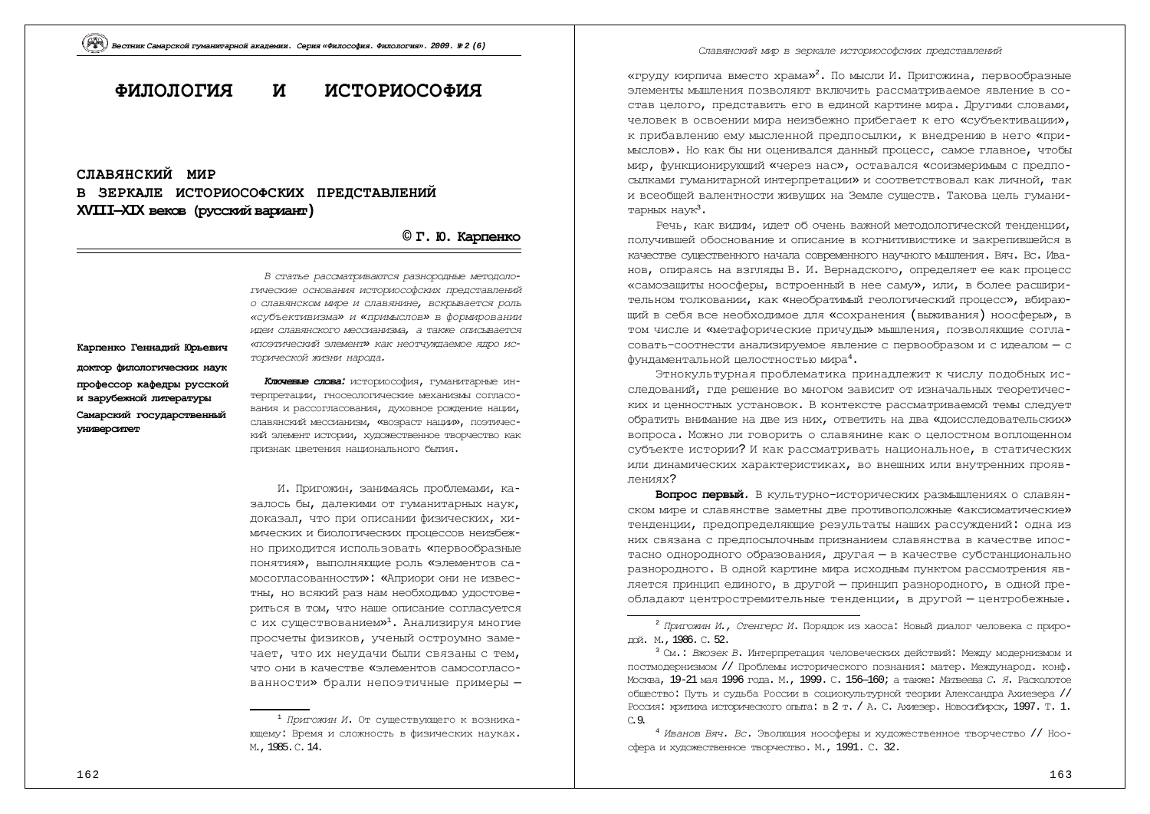# **ɎɂɅɈɅɈȽɂə ɂ ɂɋɌɈɊɂɈɋɈɎɂə**

## СЛАВЯНСКИЙ МИР В ЗЕРКАЛЕ ИСТОРИОСОФСКИХ ПРЕДСТАВЛЕНИЙ  $XVIII–XIX$  веков (русский вариант)

## **© Ƚ. ɘ. Ʉɚɪɩɟɧɤɨ**

Карпенко Генналий Юрьевич доктор филологических наук профессор кафедры русской и зарубежной литературы Самарский государственный **VHMBepCMTeT** 

ГИЧЕСКИЕ ОСНОВАНИЯ ИСТО*РИОСОФСКИХ ПРЕДСТАВЛЕНИЙ*  $\alpha$  славянском мире и славянине, вскоывается роль *©ɫɭɛɴɟɤɬɢɜɢɡɦɚ» ɢ «ɩɪɢɦɵɫɥɨɜ» ɜɮɨɪɦɢɪɨɜɚɧɢɢ* идеи славянского мессианизма, а также описывается «поэтический элемент» как неотчуждаемое ядро исторической жизни народа.

В статье рассматриваются разнородные методоло-

**Ключевые слова:** историософия, гуманитарные интерпретации, гносеологические механизмы согласования и рассогласования, духовное рождение нации, славянский мессианизм, «возраст нации», поэтический элемент истории, художественное творчество как признак цветения национального бытия.

И. Пригожин, занимаясь проблемами, казалось бы, далекими от гуманитарных наук, доказал, что при описании физических, химических и биологических процессов неизбежно приходится использовать «первообразные понятия», выполняющие роль «элементов самосогласованности»: «Априори они не известны, но всякий раз нам необходимо удостовериться в том, что наше описание согласуется с их существованием»<sup>1</sup>. Анализируя многие просчеты физиков, ученый остроумно замечает, что их неудачи были связаны с тем. HTO OHN B KAHACTBA «ЭЛАМАНТОВ САМОСОРЛАСОванности» брали непоэтичные примеры -

Славянский мир в зеркале историософских представлений

«груду кирпича вместо храма»<sup>2</sup>. По мысли И. Пригожина, первообразные ЭЛЕМЕНТЫ МЫШЛЕНИЯ ПОЗВОЛЯЮТ ВКЛЮЧИТЬ РАССМАТРИВАЕМОЕ ЯВЛЕНИЕ В СОстав целого, представить его в единой картине мира. Лругими словами, человек в освоении мира неизбежно прибегает к его «субъективации», к прибавлению ему мысленной предпосылки, к внедрению в него «при-МЫСЛОВ». Но как бы ни оценивался данный процесс, самое главное, чтобы мир, функционирующий «через нас», оставался «соизмеримым с предпосылками гуманитарной интерпретации» и соответствовал как личной, так и всеобщей валентности живущих на Земле существ. Такова цель гуманитарных наук<sup>3</sup>.

Речь, как видим, идет об очень важной методологической тенденции, получившей обоснование и описание в когнитивистике и закрепившейся в качестве существенного начала современного научного мышления. Вяч. Вс. Иванов, опираясь на взгляды В. И. Вернадского, определяет ее как процесс «самозащиты ноосферы, встроенный в нее саму», или, в более расширительном толковании, как «необратимый геологический процесс», вбираю-ЩИЙ В СЕбя все необходимое для «сохранения (выживания) ноосферы», в том числе и «метафорические причуды» мышления, позволяющие согласовать-соотнести анализируемое явление с первообразом и с идеалом - с фундаментальной целостностью мира<sup>4</sup>.

Этнокультурная проблематика принадлежит к числу подобных исследований, где решение во многом зависит от изначальных теоретических и ценностных установок. В контексте рассматриваемой темы следует обратить внимание на две из них, ответить на два «доисследовательских» вопроса. Можно ли говорить о славянине как о целостном воплощенном субъекте истории? И как рассматривать национальное, в статических или динамических характеристиках, во внешних или внутренних проявлениях?

**Вопрос первый.** В культурно-исторических размышлениях о славянском мире и славянстве заметны две противоположные «аксиоматические» тенденции, предопределяющие результаты нащих рассуждений: одна из них связана с предпосылочным признанием славянства в качестве ипостасно однородного образования, другая - в качестве субстанционально разнородного. В одной картине мира исходным пунктом рассмотрения является принципединого, в другой - принципразнородного, в одной преобладают центростремительные тенденции, в другой - центробежные.

<sup>&</sup>lt;sup>1</sup> *Пригожин И*. От существующего к возникающему: Время и сложность в физических науках. M., 1985. C. 14.

<sup>&</sup>lt;sup>2</sup> Пригожин И., Стенгерс И. Порядок из хаоса: Новый диалог человека с природой. М., 1986. С. 52.

<sup>&</sup>lt;sup>3</sup> См.: *Вжозек В. Интерпретация человеческих действий: Между модернизмом и* постмодернизмом // Проблемы исторического познания: матер. Международ. конф. Москва, 19-21 мая 1996 года. М., 1999. С. 156—160; а также: *Матвеева С. Я*. Расколотое общество: Путь и судьба России в социокультурной теории Александра Ахиезера // Россия: критика исторического опыта: в 2 т. / А. С. Ахиезер. Новосибирск, 1997. Т. 1. C. 9.

<sup>&</sup>lt;sup>4</sup> Иванов Вяч. Вс. Эволюция ноосферы и художественное творчество // Ноосфера и художественное творчество. М., 1991. С. 32.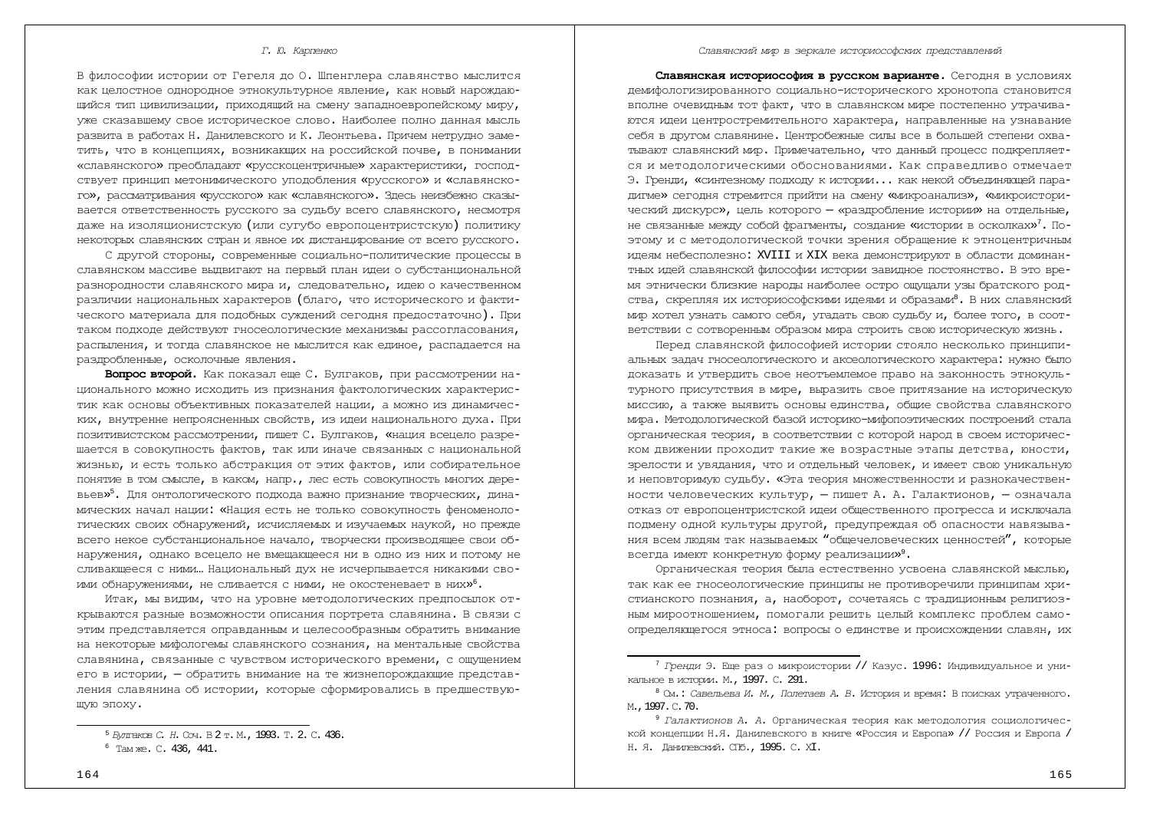#### *<i>. Ю. Карпенко*

В философии истории от Гегеля до О. Шпенглера славянство мыслится как целостное однородное этнокультурное явление, как новый нарождаюшийся тип цивилизации, прихолящий на смену запалноевропейскому миру, уже сказавшему свое историческое слово. Наиболее полно данная мысль развита в работах Н. Данилевского и К. Леонтьева. Причем нетрудно заметить, что в концепциях, возникающих на российской почве, в понимании «славянского» преобладают «русскоцентричные» характеристики, господствует принцип метонимического уподобления «русского» и «славянского», рассматривания «русского» как «славянского». Здесь неизбежно сказывается ответственность русского за судьбу всего славянского, несмотря даже на изоляционистскую (или сугубо европоцентристскую) политику некоторых славянских стран и явное их дистанцирование от всего русского.

С другой стороны, современные социально-политические процессы в славянском массиве выдвигают на первый план идеи о субстанциональной разнородности славянского мира и, следовательно, идею о качественном различии национальных характеров (благо, что исторического и фактического материала для подобных суждений сегодня предостаточно). При TAKOM ПОЛХОЛЕ ЛЕЙСТВVЮТ ГНОСЕОЛОГИЧЕСКИЕ МЕХАНИЗМЫ РАССОГЛАСОВАНИЯ, распыления, и тогда славянское не мыслится как единое, распадается на раздробленные, осколочные явления.

Вопрос второй. Как показал еще С. Булгаков, при рассмотрении национального можно исходить из признания фактологических характеристик как основы объективных показателей нации, а можно из динамических, внутренне непроясненных свойств, из идеи национального духа. При позитивистском рассмотрении, пишет С. Булгаков, «нация всецело разрешается в совокупность фактов, так или иначе связанных с национальной жизнью, и есть только абстракция от этих фактов, или собирательное ПОНЯТИЕ В ТОМ СМЫСЛЕ, В КАКОМ, НАПР., ЛЕС ЕСТЬ СОВОКУПНОСТЬ МНОГИХ ДЕРЕвьев»<sup>5</sup>. Для онтологического подхода важно признание творческих, динамических начал нации: «Нация есть не только совокупность феноменологических своих обнаружений, исчисляемых и изучаемых наукой, но прежде всего некое субстанциональное начало, творчески производящее свои обнаружения, однако всецело не вмещающееся ни в одно из них и потому не сливающееся с ними… Национальный дух не исчерпывается никакими своими обнаружениями, не сливается с ними, не окостеневает в них» $^6.$ 

Итак, мы видим, что на уровне методологических предпосылок открываются разные возможности описания портрета славянина. В связи с этим представляется оправданным и целесообразным обратить внимание на некоторые мифологемы славянского сознания, на ментальные свойства славянина, связанные с чувством исторического времени, с ощущением его в истории, — обратить внимание на те жизнепорождающие представления славянина об истории, которые сформировались в предшествующую эпоху.

Славянская историософия в русском варианте. Сегодня в условиях демифологизированного социально-исторического хронотопа становится вполне очевидным тот факт, что в славянском мире постепенно утрачиваются идеи центростремительного характера, направленные на узнавание себя в другом славянине. Центробежные силы все в большей степени охватывают славянский мир. Примечательно, что данный процесс подкрепляется и методологическими обоснованиями. Как справедливо отмечает Э. Гренди, «синтезному подходу к истории... как некой объединяющей пара-ДИГМЕ» СЕГОДНЯ СТРЕМИТСЯ ПРИЙТИ НА СМЕНУ «МИКРОАНАЛИЗ», «МИКРОИСТОРИческий дискурс», цель которого - «раздробление истории» на отдельные, не связанные между собой фрагменты, создание «истории в осколках»<sup>7</sup>. Поэтому и с методологической точки зрения обращение к этноцентричным идеям небесполезно: XVIII и XIX века демонстрируют в области доминантњих идей славянской философии истории завидное постоянство. В это время этнически близкие народы наиболее остро ощущали узы братского родства, скрепляя их историософскими идеями и образами<sup>8</sup>. В них славянский мир хотел узнать самого себя, угадать свою судьбу и, более того, в соответствии с сотворенным образом мира строить свою историческую жизнь.

Перед славянской философией истории стояло несколько принципиальных задач гносеологического и аксеологического характера: нужно было доказать и утвердить свое неотъемлемое право на законность этнокультурного присутствия в мире, выразить свое притязание на историческую миссию, а также выявить основы единства, общие свойства славянского мира. Методологической базой историко-мифопоэтических построений стала органическая теория, в соответствии с которой народ в своем историческом лвижении прохолит такие же возрастные этапы детства, юности, зрелости и увядания, что и отдельный человек, и имеет свою уникальную и неповторимую судьбу. «Эта теория множественности и разнокачественности человеческих культур, – пишет А. А. Галактионов, – означала отказ от европоцентристской идеи общественного прогресса и исключала полмену одной культуры другой, предупреждая об опасности навязывания всем людям так называемых "общечеловеческих ценностей", которые всегда имеют конкретную форму реализации» $^{\circ}.$ 

Органическая теория была естественно усвоена славянской мыслью, так как ее гносеологические принципы не противоречили принципам христианского познания, а, наоборот, сочетаясь с традиционным религиозным мироотношением, помогали решить целый комплекс проблем самоопределяющегося этноса: вопросы о единстве и происхождении славян, их

<sup>&</sup>lt;sup>5</sup> Булгаков С. Н. Соч. В 2 т. М., 1993. Т. 2. С. 436.

 $6$  Tam  $xe$ . C. 436, 441.

<sup>&</sup>lt;sup>7</sup> Гренди Э. Еще раз о микроистории // Казус. 1996: Индивидуальное и уникальное в истории. М., 1997. С. 291.

<sup>&</sup>lt;sup>8</sup> См.: *Савельева И. М., Полетаев А. В. История и время: В поисках утраченного.* M., 1997. C. 70.

<sup>&</sup>lt;sup>9</sup> Галактионов А. А. Органическая теория как метолология социологической концепции Н.Я. Данилевского в книге «Россия и Европа» // Россия и Европа / Н. Я. Данилевский. СПб., 1995. С. XI.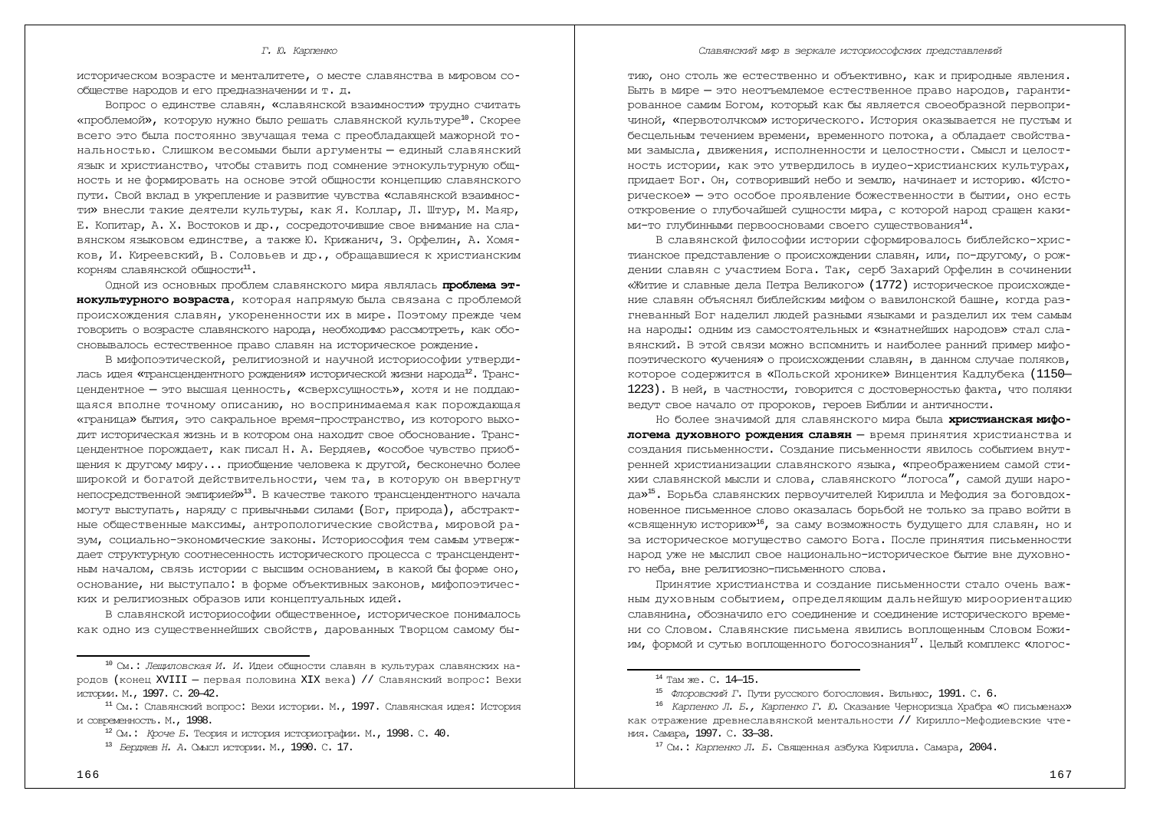#### Славянский мир в зеркале историософских представлений

### *<i>. <i>. Карпенко*

историческом возрасте и менталитете, о месте славянства в мировом сообществе народов и его предназначении и т. д.

Вопрос о единстве славян, «славянской взаимности» трудно считать «проблемой», которую нужно было решать славянской культуре<sup>10</sup>. Скорее всего это была постоянно звучащая тема с преобладающей мажорной тональностью. Слишком весомыми были аргументы - единый славянский язык и христианство, чтобы ставить под сомнение этнокультурную общность и не формировать на основе этой общности концепцию славянского пути. Свой вклад в укрепление и развитие чувства «славянской взаимности» внесли такие деятели культуры, как Я. Коллар, Л. Штур, М. Маяр, Е. Копитар, А. Х. Востоков и др., сосредоточившие свое внимание на славянском языковом единстве, а также Ю. Крижанич, З. Орфелин, А. Хомяков, И. Киреевский, В. Соловьев и др., обращавшиеся к христианским корням славянской общности $^{11}$ .

Одной из основных проблем славянского мира являлась **проблема этнокультурного возраста**, которая напрямую была связана с проблемой происхождения славян, укорененности их в мире. Поэтому прежде чем говорить о возрасте славянского народа, необходимо рассмотреть, как обосновывалось естественное право славян на историческое рождение.

В мифопоэтической, религиозной и научной историософии утвердилась идея «трансцендентного рождения» исторической жизни народа<sup>12</sup>. Трансцендентное - это высшая ценность, «сверхсущность», хотя и не поддающаяся вполне точному описанию, но воспринимаемая как порождающая «граница» бытия, это сакральное время-пространство, из которого выходит историческая жизнь и в котором она находит свое обоснование. Трансцендентное порождает, как писал Н. А. Бердяев, «особое чувство приобщения к другому миру... приобщение человека к другой, бесконечно более широкой и богатой действительности, чем та, в которую он ввергнут непосредственной эмпирией»<sup>13</sup>. В качестве такого трансцендентного начала могут выступать, наряду с привычными силами (Бог, природа), абстрактные общественные максимы, антропологические свойства, мировой разум, социально-экономические законы. Историософия тем самым утверждает структурную соотнесенность исторического процесса с трансцендентным началом, связь истории с высшим основанием, в какой бы форме оно, основание, ни выступало: в форме объективных законов, мифопоэтических и религиозных образов или концептуальных идей.

В славянской историософии общественное, историческое понималось как одно из существеннейших свойств, дарованных Творцом самому бытию, оно столь же естественно и объективно, как и природные явления. Быть в мире — это неотъемлемое естественное право народов, гарантированное самим Богом, который как бы является своеобразной первопричиной, «первотолчком» исторического. История оказывается не пустым и бесцельным течением времени, временного потока, а обладает свойства-МИ ЗАМЫСЛА, ДВИЖЕНИЯ, ИСПОЛНЕННОСТИ И ЦЕЛОСТНОСТИ. СМЫСЛ И ЦЕЛОСТность истории, как это утвердилось в иудео-христианских культурах, придает Бог. Он, сотворивший небо и землю, начинает и историю. «Историческое» — это особое проявление божественности в бытии, оно есть откровение о глубочайшей сущности мира, с которой народ сращен каки-МИ-ТО ГЛУ ОИННЫМИ ПЕРВООСНОВАМИ СВОЕГО СУЩЕСТВОВАНИЯ<sup>14</sup>.

В славянской философии истории сформировалось библейско-христианское представление о происхождении славян, или, по-другому, о рождении славян с участием Бога. Так, серб Захарий Орфелин в сочинении «Житие и славные дела Петра Великого» (1772) историческое происхождение славян объяснял библейским мифом о вавилонской башне, когда разгневанный Бог наделил людей разными языками и разделил их тем самым на народы: одним из самостоятельных и «знатнейших народов» стал славянский. В этой связи можно вспомнить и наиболее ранний пример мифопоэтического «учения» о происхождении славян, в данном случае поляков, которое содержится в «Польской хронике» Винцентия Кадлубека (1150-1223). В ней, в частности, говорится с достоверностью факта, что поляки ведут свое начало от пророков, героев Библии и античности.

Но более значимой для славянского мира была **христианская мифологема духовного рождения славян** - время принятия христианства и создания письменности. Создание письменности явилось событием внутренней христианизации славянского языка, «преображением самой стихии славянской мысли и слова, славянского "логоса", самой души народа»<sup>15</sup>. Борьба славянских первоучителей Кирилла и Мефодия за боговдохновенное письменное слово оказалась борьбой не только за право войти в «священную историю»<sup>16</sup>, за саму возможность будущего для славян, но и за историческое могущество самого Бога. После принятия письменности народ уже не мыслил свое национально-историческое бытие вне духовного неба, вне религиозно-письменного слова.

Принятие христианства и создание письменности стало очень важным духовным событием, определяющим дальнейшую мироориентацию славянина, обозначило его соединение и соединение исторического времени со Словом. Славянские письмена явились воплошенным Словом Божиим, формой и сутью воплощенного богосознания<sup>17</sup>. Целый комплекс «логос-

<sup>&</sup>lt;sup>10</sup> См.: *Лещиловская И. И. Идеи общности славян в культурах славянских на*родов (конец XVIII – первая половина XIX века) // Славянский вопрос: Вехи истории. М., 1997. С. 20-42.

 $11$  См.: Славянский вопрос: Вехи истории. М., 1997. Славянская идея: История и современность. М., 1998.

<sup>&</sup>lt;sup>12</sup> См.: *Кроче Б.* Теория и история историографии. М., 1998. С. 40.

<sup>&</sup>lt;sup>13</sup> Бердяев Н. А. Смысл истории. М., 1990. С. 17.

<sup>&</sup>lt;sup>14</sup> Там же. С. 14-15.

<sup>&</sup>lt;sup>15</sup> ФЛОРОВСКИЙ Г. Пути русского богословия. Вильнюс, 1991. С. 6.

<sup>&</sup>lt;sup>16</sup> *Карпенко Л. Б., Карпенко Г. Ю.* Сказание Черноризца Храбра «О письменах» как отражение превнеславянской ментальности // Кирилло-Мефолиевские чтеɧɢɹ. ɋɚɦɚɪɚ, 1997. ɋ. 33—38.

<sup>&</sup>lt;sup>17</sup> См.: Карленко Л. Б. Священная азбука Кирилла. Самара, 2004.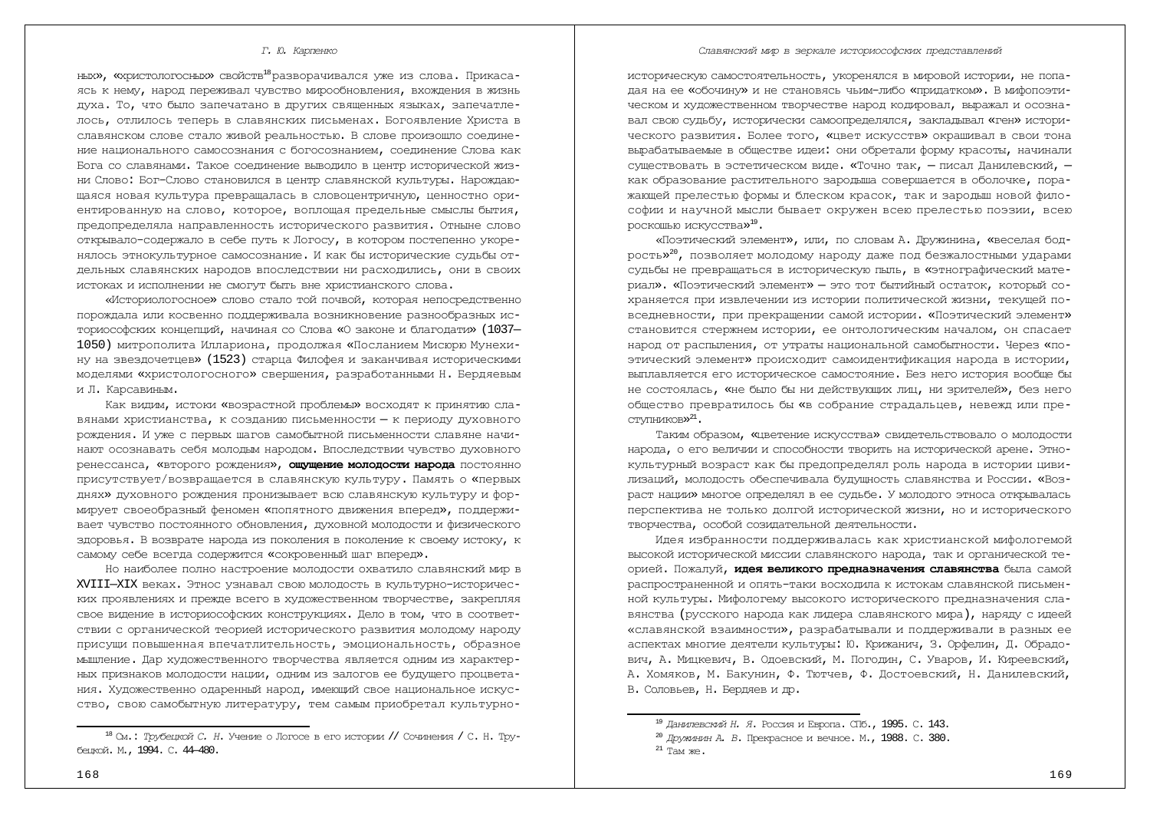#### *<i>. Ю. Карпенко*

ЊЕХ», «ХРИСТОЛОГОСЊЕХ» СВОЙСТВ<sup>18</sup> РАЗВОРАЧИВАЛСЯ УЖЕ ИЗ СЛОВА. Прикасаясь к нему, народ переживал чувство мирообновления, вхождения в жизнь духа. То, что было запечатано в других священных языках, запечатлелось, отлилось теперь в славянских письменах. Богоявление Христа в славянском слове стало живой реальностью. В слове произошло соединение национального самосознания с богосознанием, соединение Слова как Бога со славянами. Такое соединение выводило в центр исторической жизни Слово: Бог-Слово становился в центр славянской культуры. Нарождающаяся новая культура превращалась в словоцентричную, ценностно ориентированную на слово, которое, воплощая предельные смыслы бытия, предопределяла направленность исторического развития. Отныне слово открывало-содержало в себе путь к Логосу, в котором постепенно укоренялось этнокультурное самосознание. И как бы исторические судьбы отдельных славянских народов впоследствии ни расходились, они в своих истоках и исполнении не смогут быть вне христианского слова.

«Историологосное» слово стало той почвой, которая непосредственно порождала или косвенно поддерживала возникновение разнообразных историософских концепций, начиная со Слова «О законе и благодати» (1037— 1050) митрополита Иллариона, продолжая «Посланием Мискорю Мунехину на звездочетцев» (1523) старца Филофея и заканчивая историческими моделями «христологосного» свершения, разработанными Н. Бердяевым и Л. Карсавиным.

Как видим, истоки «возрастной проблемы» восходят к принятию славянами христианства, к созданию письменности - к периоду духовного рождения. И уже с первых шагов самобытной письменности славяне начинают осознавать себя молодым народом. Впоследствии чувство духовного ренессанса, «второго рождения», ощущение молодости народа постоянно присутствует/возвращается в славянскую культуру. Память о «первых лнях» духовного рождения пронизывает всю славянскую культуру и формирует своеобразный феномен «попятного движения вперед», поддерживает чувство постоянного обновления, луховной мололости и физического здоровья. В возврате народа из поколения в поколение к своему истоку, к самому себе всегда содержится «сокровенный шаг вперед».

Но наиболее полно настроение молодости охватило славянский мир в XVIII—XIX веках. Этнос узнавал свою молодость в культурно-исторических проявлениях и прежде всего в художественном творчестве, закрепляя свое видение в историософских конструкциях. Дело в том, что в соответствии с органической теорией исторического развития молодому народу присущи повышенная впечатлительность, эмоциональность, образное мышление. Дар художественного творчества является одним из характер-НЫХ ПОИЗНАКОВ МОЛОДОСТИ НАШИИ, ОДНИМ ИЗ ЗАЛОГОВ ЕЕ бУДУЩЕГО ПРОЦВЕТАния. Художественно одаренный народ, имеющий свое национальное искусство, свою самобытную литературу, тем самым приобретал культурно-

#### Славянский мир в зеркале историософских представлений

историческую самостоятельность, укоренялся в мировой истории, не попадая на ее «обочину» и не становясь чьим-либо «придатком». В мифопоэтическом и хуложественном творчестве народ колировал, выражал и осознавал свою судьбу, исторически самоопределялся, закладывал «ген» исторического развития. Более того, «цвет искусств» окрашивал в свои тона вырабатываемые в обществе идеи: они обретали форму красоты, начинали существовать в эстетическом виде. «Точно так, - писал Данилевский, как образование растительного зародыша совершается в оболочке, поражающей прелестью формы и блеском красок, так и зародыш новой философии и научной мысли бывает окружен всею прелестью поэзии, всею роскошью искусства»<sup>19</sup>.

«Поэтический элемент», или, по словам А. Дружинина, «веселая бодрость»<sup>20</sup>, позволяет молодому народу даже под безжалостными ударами судьбы не превращаться в историческую пыль, в «этнографический материал». «Поэтический элемент» — это тот бытийный остаток, который сохраняется при извлечении из истории политической жизни, текущей повседневности, при прекращении самой истории. «Поэтический элемент» становится стержнем истории, ее онтологическим началом, он спасает народ от распыления, от утраты национальной самобытности. Через «поэтический элемент» происходит самоидентификация народа в истории, выплавляется его историческое самостояние. Без него история вообще бы не состоялась, «не было бы ни действующих лиц, ни зрителей», без него общество превратилось бы «в собрание страдальцев, невежд или преступников»<sup>21</sup>.

Таким образом, «цветение искусства» свидетельствовало о молодости народа, о его величии и способности творить на исторической арене. Этнокультурный возраст как бы предопределял роль народа в истории цивилизаций, молодость обеспечивала будущность славянства и России. «Возраст нации» многое определял в ее судьбе. У молодого этноса открывалась перспектива не только долгой исторической жизни, но и исторического творчества, особой созидательной деятельности.

Идея избранности поддерживалась как христианской мифологемой высокой исторической миссии славянского народа, так и органической теорией. Пожалуй, идея великого предназначения славянства была самой распространенной и опять-таки восходила к истокам славянской письменной культуры. Мифологему высокого исторического предназначения славянства (русского народа как лидера славянского мира), наряду с идеей «славянской взаимности», разрабатывали и поддерживали в разных ее аспектах многие деятели культуры: Ю. Крижанич, З. Орфелин, Д. Обрадович, А. Мицкевич, В. Одоевский, М. Погодин, С. Уваров, И. Киреевский, А. Хомяков, М. Бакунин, Ф. Тютчев, Ф. Лостоевский, Н. Ланилевский, В. Соловьев, Н. Бердяев и др.

<sup>&</sup>lt;sup>18</sup> См.: *Трубецкой С. Н. Учение* о Логосе в его истории // Сочинения / С. Н. Трубецкой. М., 1994. С. 44-480.

<sup>&</sup>lt;sup>19</sup> Данилевский Н. Я. Россия и Европа. СПб., 1995. С. 143.

<sup>&</sup>lt;sup>20</sup> Дружинин А. В. Прекрасное и вечное. М., 1988. С. 380.

 $21$  Tam  $xee$ .